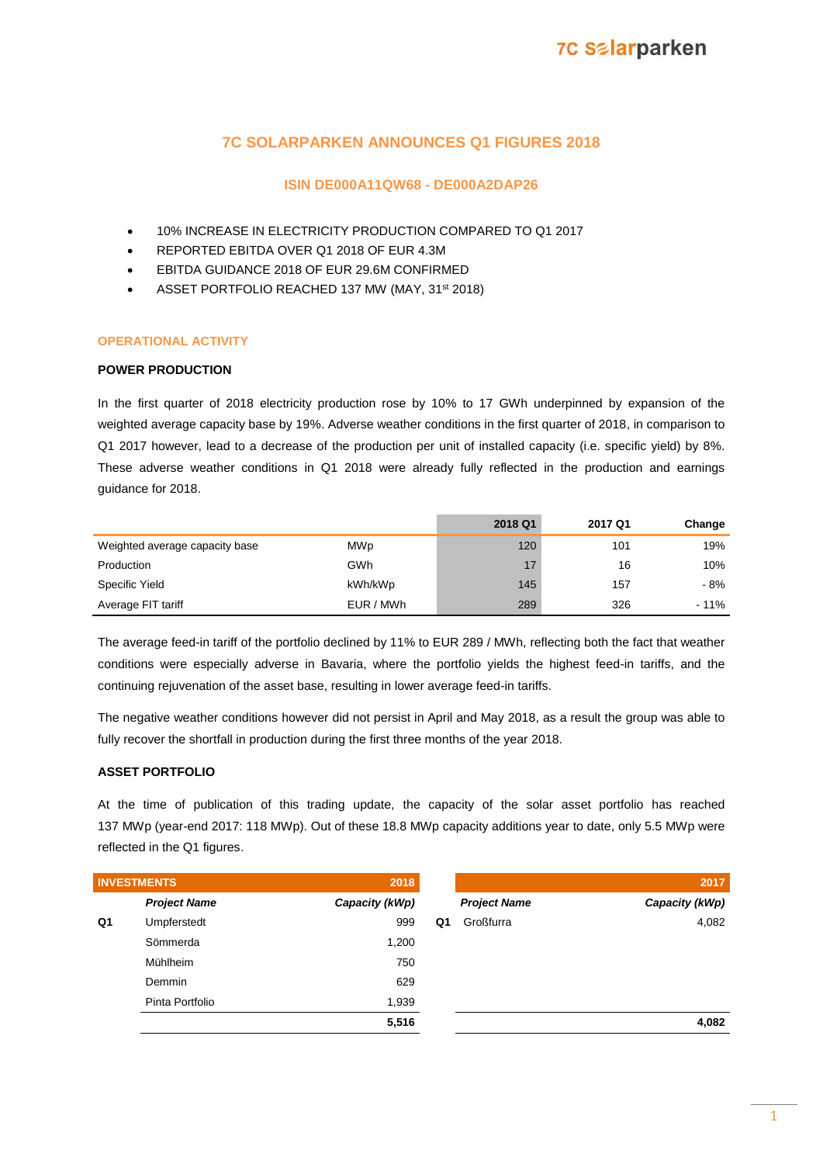### **7C SOLARPARKEN ANNOUNCES Q1 FIGURES 2018**

### **ISIN DE000A11QW68 - DE000A2DAP26**

- 10% INCREASE IN ELECTRICITY PRODUCTION COMPARED TO Q1 2017
- REPORTED EBITDA OVER Q1 2018 OF EUR 4.3M
- EBITDA GUIDANCE 2018 OF EUR 29.6M CONFIRMED
- ASSET PORTFOLIO REACHED 137 MW (MAY, 31st 2018)

### **OPERATIONAL ACTIVITY**

### **POWER PRODUCTION**

In the first quarter of 2018 electricity production rose by 10% to 17 GWh underpinned by expansion of the weighted average capacity base by 19%. Adverse weather conditions in the first quarter of 2018, in comparison to Q1 2017 however, lead to a decrease of the production per unit of installed capacity (i.e. specific yield) by 8%. These adverse weather conditions in Q1 2018 were already fully reflected in the production and earnings guidance for 2018.

|                                |            | 2018 Q1 | 2017 Q1 | Change |
|--------------------------------|------------|---------|---------|--------|
| Weighted average capacity base | <b>MWp</b> | 120     | 101     | 19%    |
| Production                     | GWh        | 17      | 16      | 10%    |
| Specific Yield                 | kWh/kWp    | 145     | 157     | - 8%   |
| Average FIT tariff             | EUR / MWh  | 289     | 326     | $-11%$ |

The average feed-in tariff of the portfolio declined by 11% to EUR 289 / MWh, reflecting both the fact that weather conditions were especially adverse in Bavaria, where the portfolio yields the highest feed-in tariffs, and the continuing rejuvenation of the asset base, resulting in lower average feed-in tariffs.

The negative weather conditions however did not persist in April and May 2018, as a result the group was able to fully recover the shortfall in production during the first three months of the year 2018.

### **ASSET PORTFOLIO**

At the time of publication of this trading update, the capacity of the solar asset portfolio has reached 137 MWp (year-end 2017: 118 MWp). Out of these 18.8 MWp capacity additions year to date, only 5.5 MWp were reflected in the Q1 figures.

|    | <b>INVESTMENTS</b>  | 2018           |    |                     | 2017           |
|----|---------------------|----------------|----|---------------------|----------------|
|    | <b>Project Name</b> | Capacity (kWp) |    | <b>Project Name</b> | Capacity (kWp) |
| Q1 | Umpferstedt         | 999            | Q1 | Großfurra           | 4,082          |
|    | Sömmerda            | 1,200          |    |                     |                |
|    | Mühlheim            | 750            |    |                     |                |
|    | Demmin              | 629            |    |                     |                |
|    | Pinta Portfolio     | 1,939          |    |                     |                |
|    |                     | 5,516          |    |                     | 4,082          |
|    |                     |                |    |                     |                |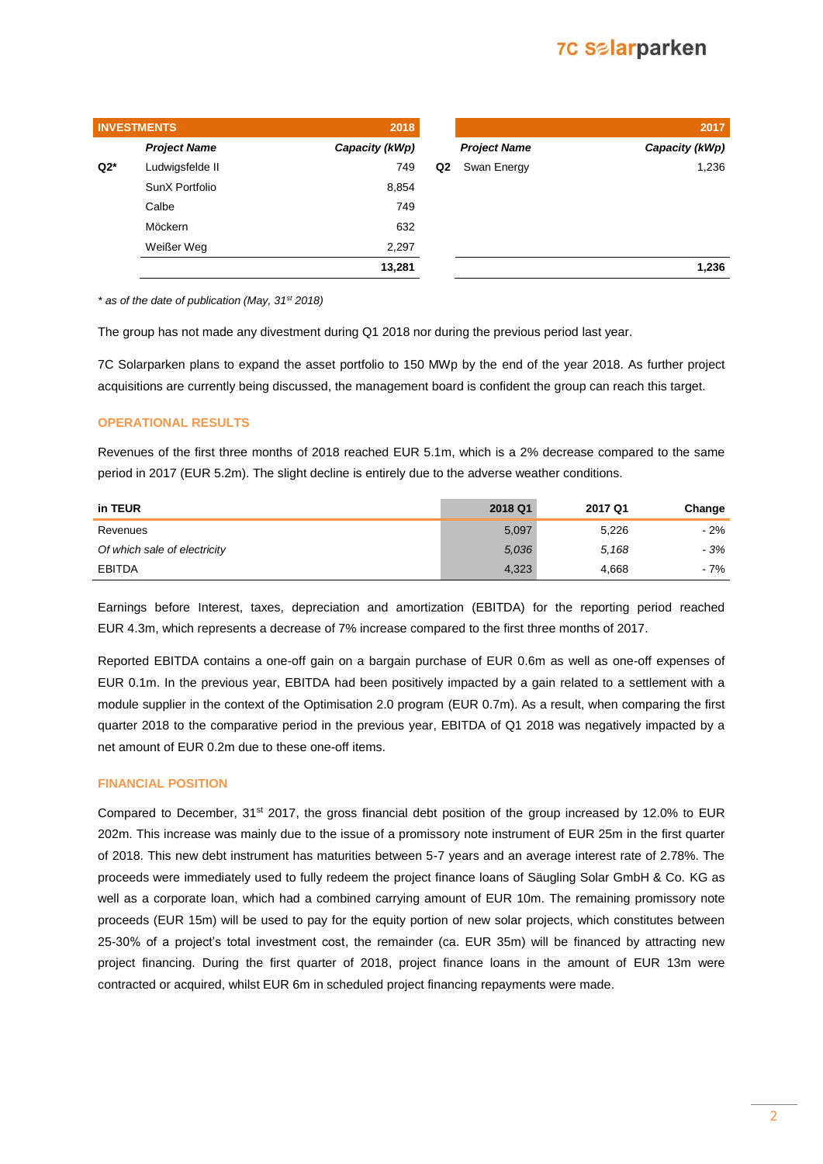## **7C Salarparken**

|       | <b>INVESTMENTS</b>  | 2018           |                |                     | 2017           |
|-------|---------------------|----------------|----------------|---------------------|----------------|
|       | <b>Project Name</b> | Capacity (kWp) |                | <b>Project Name</b> | Capacity (kWp) |
| $Q2*$ | Ludwigsfelde II     | 749            | Q <sub>2</sub> | Swan Energy         | 1,236          |
|       | SunX Portfolio      | 8,854          |                |                     |                |
|       | Calbe               | 749            |                |                     |                |
|       | Möckern             | 632            |                |                     |                |
|       | Weißer Weg          | 2,297          |                |                     |                |
|       |                     | 13,281         |                |                     | 1,236          |
|       |                     |                |                |                     |                |

*\* as of the date of publication (May, 31st 2018)*

The group has not made any divestment during Q1 2018 nor during the previous period last year.

7C Solarparken plans to expand the asset portfolio to 150 MWp by the end of the year 2018. As further project acquisitions are currently being discussed, the management board is confident the group can reach this target.

### **OPERATIONAL RESULTS**

Revenues of the first three months of 2018 reached EUR 5.1m, which is a 2% decrease compared to the same period in 2017 (EUR 5.2m). The slight decline is entirely due to the adverse weather conditions.

| in TEUR                      | 2018 Q1 | 2017 Q1 | Change |
|------------------------------|---------|---------|--------|
| Revenues                     | 5,097   | 5,226   | - 2%   |
| Of which sale of electricity | 5.036   | 5.168   | - 3%   |
| EBITDA                       | 4,323   | 4,668   | - 7%   |

Earnings before Interest, taxes, depreciation and amortization (EBITDA) for the reporting period reached EUR 4.3m, which represents a decrease of 7% increase compared to the first three months of 2017.

Reported EBITDA contains a one-off gain on a bargain purchase of EUR 0.6m as well as one-off expenses of EUR 0.1m. In the previous year, EBITDA had been positively impacted by a gain related to a settlement with a module supplier in the context of the Optimisation 2.0 program (EUR 0.7m). As a result, when comparing the first quarter 2018 to the comparative period in the previous year, EBITDA of Q1 2018 was negatively impacted by a net amount of EUR 0.2m due to these one-off items.

#### **FINANCIAL POSITION**

Compared to December, 31st 2017, the gross financial debt position of the group increased by 12.0% to EUR 202m. This increase was mainly due to the issue of a promissory note instrument of EUR 25m in the first quarter of 2018. This new debt instrument has maturities between 5-7 years and an average interest rate of 2.78%. The proceeds were immediately used to fully redeem the project finance loans of Säugling Solar GmbH & Co. KG as well as a corporate loan, which had a combined carrying amount of EUR 10m. The remaining promissory note proceeds (EUR 15m) will be used to pay for the equity portion of new solar projects, which constitutes between 25-30% of a project's total investment cost, the remainder (ca. EUR 35m) will be financed by attracting new project financing. During the first quarter of 2018, project finance loans in the amount of EUR 13m were contracted or acquired, whilst EUR 6m in scheduled project financing repayments were made.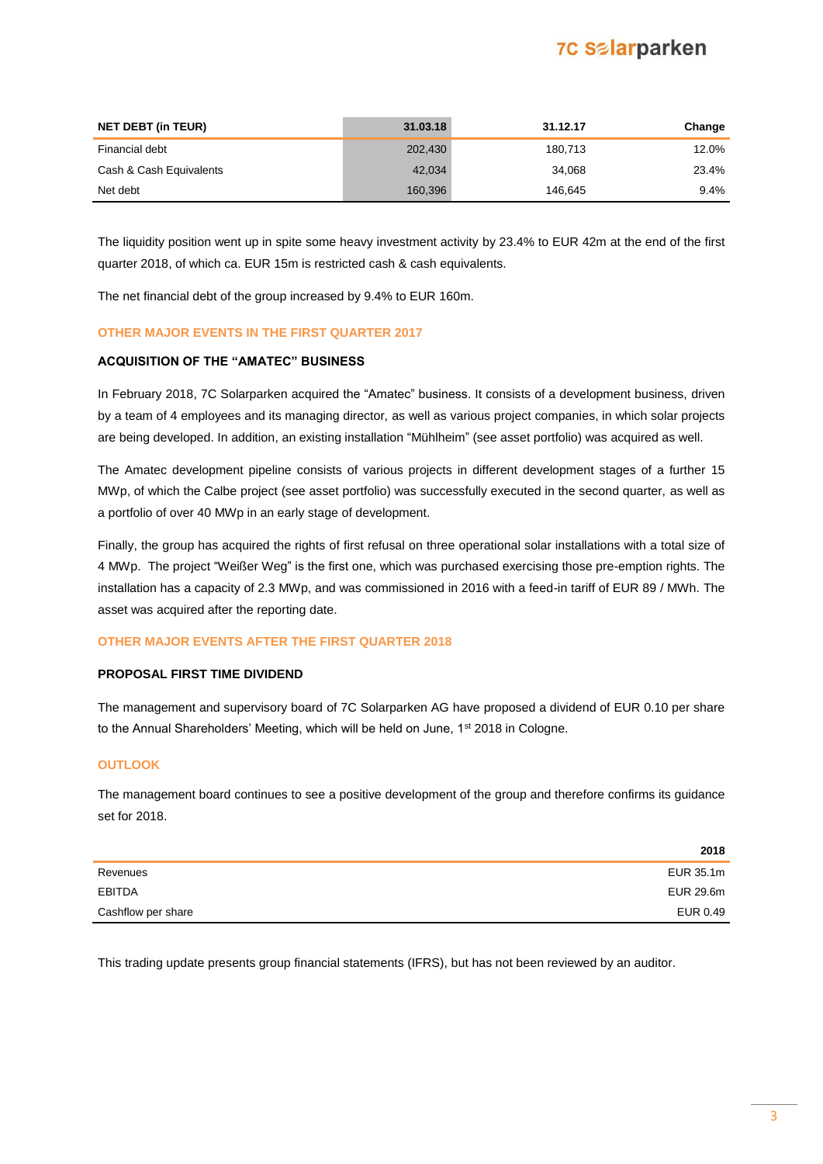### **7C Salarparken**

| <b>NET DEBT (in TEUR)</b> | 31.03.18 | 31.12.17 | Change  |
|---------------------------|----------|----------|---------|
| Financial debt            | 202,430  | 180,713  | 12.0%   |
| Cash & Cash Equivalents   | 42,034   | 34.068   | 23.4%   |
| Net debt                  | 160,396  | 146.645  | $9.4\%$ |

The liquidity position went up in spite some heavy investment activity by 23.4% to EUR 42m at the end of the first quarter 2018, of which ca. EUR 15m is restricted cash & cash equivalents.

The net financial debt of the group increased by 9.4% to EUR 160m.

### **OTHER MAJOR EVENTS IN THE FIRST QUARTER 2017**

### **ACQUISITION OF THE "AMATEC" BUSINESS**

In February 2018, 7C Solarparken acquired the "Amatec" business. It consists of a development business, driven by a team of 4 employees and its managing director, as well as various project companies, in which solar projects are being developed. In addition, an existing installation "Mühlheim" (see asset portfolio) was acquired as well.

The Amatec development pipeline consists of various projects in different development stages of a further 15 MWp, of which the Calbe project (see asset portfolio) was successfully executed in the second quarter, as well as a portfolio of over 40 MWp in an early stage of development.

Finally, the group has acquired the rights of first refusal on three operational solar installations with a total size of 4 MWp. The project "Weißer Weg" is the first one, which was purchased exercising those pre-emption rights. The installation has a capacity of 2.3 MWp, and was commissioned in 2016 with a feed-in tariff of EUR 89 / MWh. The asset was acquired after the reporting date.

### **OTHER MAJOR EVENTS AFTER THE FIRST QUARTER 2018**

#### **PROPOSAL FIRST TIME DIVIDEND**

The management and supervisory board of 7C Solarparken AG have proposed a dividend of EUR 0.10 per share to the Annual Shareholders' Meeting, which will be held on June, 1<sup>st</sup> 2018 in Cologne.

### **OUTLOOK**

The management board continues to see a positive development of the group and therefore confirms its guidance set for 2018.

|                    | 2018      |
|--------------------|-----------|
| Revenues           | EUR 35.1m |
| <b>EBITDA</b>      | EUR 29.6m |
| Cashflow per share | EUR 0.49  |

This trading update presents group financial statements (IFRS), but has not been reviewed by an auditor.